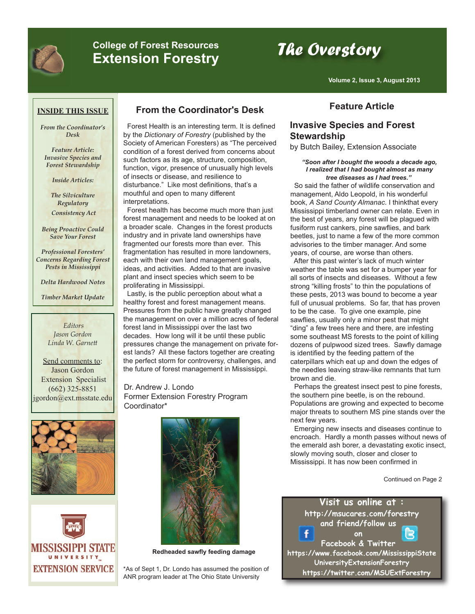

# **College of Forest Resources College of Forest Resources The Overstory**<br>Extension Forestry

**Volume 2, Issue 3, August 2013**

#### **INSIDE THIS ISSUE**

*From the Coordinator's Desk*

*Feature Article: Invasive Species and Forest Stewardship*

*Inside Articles:*

*The Silviculture Regulatory Consistency Act*

*Being Proactive Could Save Your Forest*

*Professional Foresters' Concerns Regarding Forest Pests in Mississippi*

*Delta Hardwood Notes*

*Timber Market Update*

*Editors Jason Gordon Linda W. Garnett*

Send comments to: Jason Gordon Extension Specialist (662) 325-8851 jgordon@ext.msstate.edu





# **From the Coordinator's Desk Feature Article**

Forest Health is an interesting term. It is defined by the *Dictionary of Forestry* (published by the Society of American Foresters) as "The perceived condition of a forest derived from concerns about such factors as its age, structure, composition, function, vigor, presence of unusually high levels of insects or disease, and resilience to disturbance." Like most definitions, that's a mouthful and open to many different interpretations.

Forest health has become much more than just forest management and needs to be looked at on a broader scale. Changes in the forest products industry and in private land ownerships have fragmented our forests more than ever. This fragmentation has resulted in more landowners, each with their own land management goals, ideas, and activities. Added to that are invasive plant and insect species which seem to be proliferating in Mississippi.

Lastly, is the public perception about what a healthy forest and forest management means. Pressures from the public have greatly changed the management on over a million acres of federal forest land in Mississippi over the last two decades. How long will it be until these public pressures change the management on private forest lands? All these factors together are creating the perfect storm for controversy, challenges, and the future of forest management in Mississippi.

Dr. Andrew J. Londo Former Extension Forestry Program Coordinator\*



**Redheaded sawfly feeding damage**

\*As of Sept 1, Dr. Londo has assumed the position of ANR program leader at The Ohio State University

#### **Invasive Species and Forest Stewardship**

by Butch Bailey, Extension Associate

#### *"Soon after I bought the woods a decade ago, I realized that I had bought almost as many tree diseases as I had trees."*

So said the father of wildlife conservation and management, Aldo Leopold, in his wonderful book, *A Sand County Almanac*. I thinkthat every Mississippi timberland owner can relate. Even in the best of years, any forest will be plagued with fusiform rust cankers, pine sawflies, and bark beetles, just to name a few of the more common advisories to the timber manager. And some years, of course, are worse than others.

After this past winter's lack of much winter weather the table was set for a bumper year for all sorts of insects and diseases. Without a few strong "killing frosts" to thin the populations of these pests, 2013 was bound to become a year full of unusual problems. So far, that has proven to be the case. To give one example, pine sawflies, usually only a minor pest that might "ding" a few trees here and there, are infesting some southeast MS forests to the point of killing dozens of pulpwood sized trees. Sawfly damage is identified by the feeding pattern of the caterpillars which eat up and down the edges of the needles leaving straw-like remnants that turn brown and die.

Perhaps the greatest insect pest to pine forests, the southern pine beetle, is on the rebound. Populations are growing and expected to become major threats to southern MS pine stands over the next few years.

Emerging new insects and diseases continue to encroach. Hardly a month passes without news of the emerald ash borer, a devastating exotic insect, slowly moving south, closer and closer to Mississippi. It has now been confirmed in

Continued on Page 2

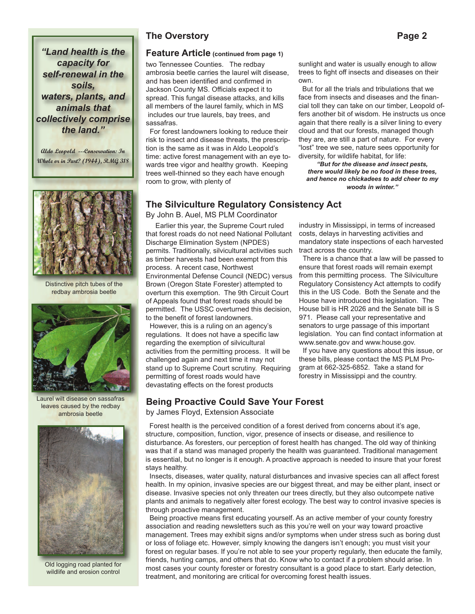*capacity for self-renewal in the soils, waters, plants, and animals that collectively comprise the land."*

**Aldo Leopold ---Conservation: In Whole or in Part? (1944), RMG 318**



Distinctive pitch tubes of the redbay ambrosia beetle



Laurel wilt disease on sassafras leaves caused by the redbay ambrosia beetle



Old logging road planted for wildlife and erosion control

#### **The Overstory Page 2**

### *"Land health is the* **Feature Article (continued from page 1)**

two Tennessee Counties. The redbay ambrosia beetle carries the laurel wilt disease, and has been identified and confirmed in Jackson County MS. Officials expect it to spread. This fungal disease attacks, and kills all members of the laurel family, which in MS includes our true laurels, bay trees, and sassafras.

For forest landowners looking to reduce their risk to insect and disease threats, the prescription is the same as it was in Aldo Leopold's time: active forest management with an eye towards tree vigor and healthy growth. Keeping trees well-thinned so they each have enough room to grow, with plenty of

sunlight and water is usually enough to allow trees to fight off insects and diseases on their own.

But for all the trials and tribulations that we face from insects and diseases and the financial toll they can take on our timber, Leopold offers another bit of wisdom. He instructs us once again that there really is a silver lining to every cloud and that our forests, managed though they are, are still a part of nature. For every "lost" tree we see, nature sees opportunity for diversity, for wildlife habitat, for life:

*"But for the disease and insect pests, there would likely be no food in these trees, and hence no chickadees to add cheer to my woods in winter."* 

#### **The Silviculture Regulatory Consistency Act**

By John B. Auel, MS PLM Coordinator

Earlier this year, the Supreme Court ruled that forest roads do not need National Pollutant Discharge Elimination System (NPDES) permits. Traditionally, silvicultural activities such as timber harvests had been exempt from this process. A recent case, Northwest Environmental Defense Council (NEDC) versus Brown (Oregon State Forester) attempted to overturn this exemption. The 9th Circuit Court of Appeals found that forest roads should be permitted. The USSC overturned this decision, to the benefit of forest landowners.

However, this is a ruling on an agency's regulations. It does not have a specific law regarding the exemption of silvicultural activities from the permitting process. It will be challenged again and next time it may not stand up to Supreme Court scrutiny. Requiring permitting of forest roads would have devastating effects on the forest products

industry in Mississippi, in terms of increased costs, delays in harvesting activities and mandatory state inspections of each harvested tract across the country.

There is a chance that a law will be passed to ensure that forest roads will remain exempt from this permitting process. The Silviculture Regulatory Consistency Act attempts to codify this in the US Code. Both the Senate and the House have introduced this legislation. The House bill is HR 2026 and the Senate bill is S 971. Please call your representative and senators to urge passage of this important legislation. You can find contact information at www.senate.gov and www.house.gov.

If you have any questions about this issue, or these bills, please contact the MS PLM Program at 662-325-6852. Take a stand for forestry in Mississippi and the country.

#### **Being Proactive Could Save Your Forest**

by James Floyd, Extension Associate

Forest health is the perceived condition of a forest derived from concerns about it's age, structure, composition, function, vigor, presence of insects or disease, and resilience to disturbance. As foresters, our perception of forest health has changed. The old way of thinking was that if a stand was managed properly the health was guaranteed. Traditional management is essential, but no longer is it enough. A proactive approach is needed to insure that your forest stays healthy.

Insects, diseases, water quality, natural disturbances and invasive species can all affect forest health. In my opinion, invasive species are our biggest threat, and may be either plant, insect or disease. Invasive species not only threaten our trees directly, but they also outcompete native plants and animals to negatively alter forest ecology. The best way to control invasive species is through proactive management.

Being proactive means first educating yourself. As an active member of your county forestry association and reading newsletters such as this you're well on your way toward proactive management. Trees may exhibit signs and/or symptoms when under stress such as boring dust or loss of foliage etc. However, simply knowing the dangers isn't enough; you must visit your forest on regular bases. If you're not able to see your property regularly, then educate the family, friends, hunting camps, and others that do. Know who to contact if a problem should arise. In most cases your county forester or forestry consultant is a good place to start. Early detection, treatment, and monitoring are critical for overcoming forest health issues.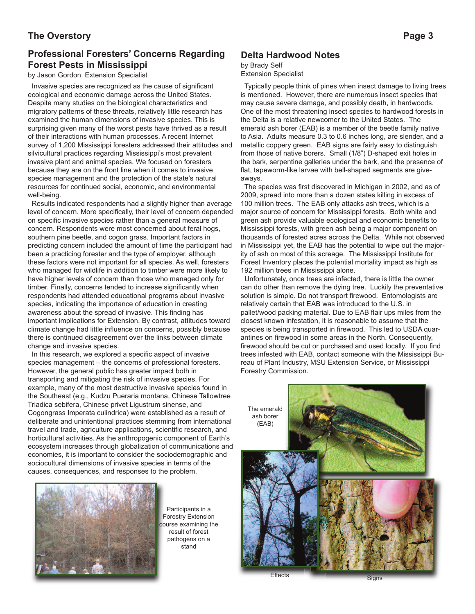#### **The Overstory Page 3**

### **Professional Foresters' Concerns Regarding Forest Pests in Mississippi**

#### by Jason Gordon, Extension Specialist

Invasive species are recognized as the cause of significant ecological and economic damage across the United States. Despite many studies on the biological characteristics and migratory patterns of these threats, relatively little research has examined the human dimensions of invasive species. This is surprising given many of the worst pests have thrived as a result of their interactions with human processes. A recent Internet survey of 1,200 Mississippi foresters addressed their attitudes and silvicultural practices regarding Mississippi's most prevalent invasive plant and animal species. We focused on foresters because they are on the front line when it comes to invasive species management and the protection of the state's natural resources for continued social, economic, and environmental well-being.

Results indicated respondents had a slightly higher than average level of concern. More specifically, their level of concern depended on specific invasive species rather than a general measure of concern. Respondents were most concerned about feral hogs, southern pine beetle, and cogon grass. Important factors in predicting concern included the amount of time the participant had been a practicing forester and the type of employer, although these factors were not important for all species. As well, foresters who managed for wildlife in addition to timber were more likely to have higher levels of concern than those who managed only for timber. Finally, concerns tended to increase significantly when respondents had attended educational programs about invasive species, indicating the importance of education in creating awareness about the spread of invasive. This finding has important implications for Extension. By contrast, attitudes toward climate change had little influence on concerns, possibly because there is continued disagreement over the links between climate change and invasive species.

In this research, we explored a specific aspect of invasive species management – the concerns of professional foresters. However, the general public has greater impact both in transporting and mitigating the risk of invasive species. For example, many of the most destructive invasive species found in the Southeast (e.g., Kudzu Pueraria montana, Chinese Tallowtree Triadica sebifera, Chinese privet Ligustrum sinense, and Cogongrass Imperata culindrica) were established as a result of deliberate and unintentional practices stemming from international travel and trade, agriculture applications, scientific research, and horticultural activities. As the anthropogenic component of Earth's ecosystem increases through globalization of communications and economies, it is important to consider the sociodemographic and sociocultural dimensions of invasive species in terms of the causes, consequences, and responses to the problem.



Participants in a Forestry Extension course examining the result of forest pathogens on a stand

#### **Delta Hardwood Notes**

## by Brady Self

Extension Specialist

Typically people think of pines when insect damage to living trees is mentioned. However, there are numerous insect species that may cause severe damage, and possibly death, in hardwoods. One of the most threatening insect species to hardwood forests in the Delta is a relative newcomer to the United States. The emerald ash borer (EAB) is a member of the beetle family native to Asia. Adults measure 0.3 to 0.6 inches long, are slender, and a metallic coppery green. EAB signs are fairly easy to distinguish from those of native borers. Small (1/8") D-shaped exit holes in the bark, serpentine galleries under the bark, and the presence of flat, tapeworm-like larvae with bell-shaped segments are giveaways.

The species was first discovered in Michigan in 2002, and as of 2009, spread into more than a dozen states killing in excess of 100 million trees. The EAB only attacks ash trees, which is a major source of concern for Mississippi forests. Both white and green ash provide valuable ecological and economic benefits to Mississippi forests, with green ash being a major component on thousands of forested acres across the Delta. While not observed in Mississippi yet, the EAB has the potential to wipe out the majority of ash on most of this acreage. The Mississippi Institute for Forest Inventory places the potential mortality impact as high as 192 million trees in Mississippi alone.

Unfortunately, once trees are infected, there is little the owner can do other than remove the dying tree. Luckily the preventative solution is simple. Do not transport firewood. Entomologists are relatively certain that EAB was introduced to the U.S. in pallet/wood packing material. Due to EAB flair ups miles from the closest known infestation, it is reasonable to assume that the species is being transported in firewood. This led to USDA quarantines on firewood in some areas in the North. Consequently, firewood should be cut or purchased and used locally. If you find trees infested with EAB, contact someone with the Mississippi Bureau of Plant Industry, MSU Extension Service, or Mississippi Forestry Commission.



Effects Signs